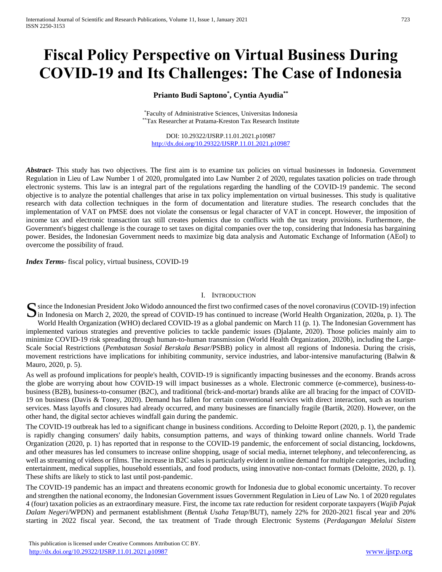# **Fiscal Policy Perspective on Virtual Business During COVID-19 and Its Challenges: The Case of Indonesia**

## **Prianto Budi Saptono\* , Cyntia Ayudia\*\***

\*Faculty of Administrative Sciences, Universitas Indonesia \*\*Tax Researcher at Pratama-Kreston Tax Research Institute

DOI: 10.29322/IJSRP.11.01.2021.p10987 <http://dx.doi.org/10.29322/IJSRP.11.01.2021.p10987>

*Abstract***-** This study has two objectives. The first aim is to examine tax policies on virtual businesses in Indonesia. Government Regulation in Lieu of Law Number 1 of 2020, promulgated into Law Number 2 of 2020, regulates taxation policies on trade through electronic systems. This law is an integral part of the regulations regarding the handling of the COVID-19 pandemic. The second objective is to analyze the potential challenges that arise in tax policy implementation on virtual businesses. This study is qualitative research with data collection techniques in the form of documentation and literature studies. The research concludes that the implementation of VAT on PMSE does not violate the consensus or legal character of VAT in concept. However, the imposition of income tax and electronic transaction tax still creates polemics due to conflicts with the tax treaty provisions. Furthermore, the Government's biggest challenge is the courage to set taxes on digital companies over the top, considering that Indonesia has bargaining power. Besides, the Indonesian Government needs to maximize big data analysis and Automatic Exchange of Information (AEoI) to overcome the possibility of fraud.

*Index Terms*- fiscal policy, virtual business, COVID-19

### I. INTRODUCTION

since the Indonesian President Joko Widodo announced the first two confirmed cases of the novel coronavirus (COVID-19) infection Since the Indonesian President Joko Widodo announced the first two confirmed cases of the novel coronavirus (COVID-19) infection<br>In Indonesia on March 2, 2020, the spread of COVID-19 has continued to increase (World Health World Health Organization (WHO) declared COVID-19 as a global pandemic on March 11 (p. 1). The Indonesian Government has implemented various strategies and preventive policies to tackle pandemic issues (Djalante, 2020). Those policies mainly aim to minimize COVID-19 risk spreading through human-to-human transmission (World Health Organization, 2020b), including the Large-Scale Social Restrictions (*Pembatasan Sosial Berskala Besar*/PSBB) policy in almost all regions of Indonesia. During the crisis, movement restrictions have implications for inhibiting community, service industries, and labor-intensive manufacturing (Balwin & Mauro, 2020, p. 5).

As well as profound implications for people's health, COVID-19 is significantly impacting businesses and the economy. Brands across the globe are worrying about how COVID-19 will impact businesses as a whole. Electronic commerce (e-commerce), business-tobusiness (B2B), business-to-consumer (B2C), and traditional (brick-and-mortar) brands alike are all bracing for the impact of COVID-19 on business (Davis & Toney, 2020). Demand has fallen for certain conventional services with direct interaction, such as tourism services. Mass layoffs and closures had already occurred, and many businesses are financially fragile (Bartik, 2020). However, on the other hand, the digital sector achieves windfall gain during the pandemic.

The COVID-19 outbreak has led to a significant change in business conditions. According to Deloitte Report (2020, p. 1), the pandemic is rapidly changing consumers' daily habits, consumption patterns, and ways of thinking toward online channels. World Trade Organization (2020, p. 1) has reported that in response to the COVID-19 pandemic, the enforcement of social distancing, lockdowns, and other measures has led consumers to increase online shopping, usage of social media, internet telephony, and teleconferencing, as well as streaming of videos or films. The increase in B2C sales is particularly evident in online demand for multiple categories, including entertainment, medical supplies, household essentials, and food products, using innovative non-contact formats (Deloitte, 2020, p. 1). These shifts are likely to stick to last until post-pandemic.

The COVID-19 pandemic has an impact and threatens economic growth for Indonesia due to global economic uncertainty. To recover and strengthen the national economy, the Indonesian Government issues Government Regulation in Lieu of Law No. 1 of 2020 regulates 4 (four) taxation policies as an extraordinary measure. First, the income tax rate reduction for resident corporate taxpayers (*Wajib Pajak Dalam Negeri*/WPDN) and permanent establishment (*Bentuk Usaha Tetap*/BUT), namely 22% for 2020-2021 fiscal year and 20% starting in 2022 fiscal year. Second, the tax treatment of Trade through Electronic Systems (*Perdagangan Melalui Sistem*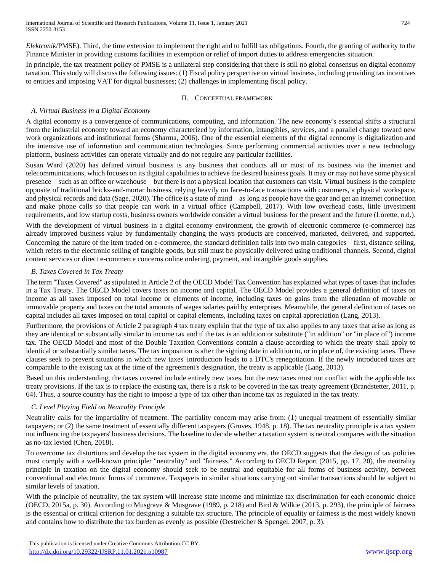*Elektronik*/PMSE). Third, the time extension to implement the right and to fulfill tax obligations. Fourth, the granting of authority to the Finance Minister in providing customs facilities in exemption or relief of import duties to address emergencies situation.

In principle, the tax treatment policy of PMSE is a unilateral step considering that there is still no global consensus on digital economy taxation. This study will discuss the following issues: (1) Fiscal policy perspective on virtual business, including providing tax incentives to entities and imposing VAT for digital businesses; (2) challenges in implementing fiscal policy.

#### II. CONCEPTUAL FRAMEWORK

## *A. Virtual Business in a Digital Economy*

A digital economy is a convergence of communications, computing, and information. The new economy's essential shifts a structural from the industrial economy toward an economy characterized by information, intangibles, services, and a parallel change toward new work organizations and institutional forms (Sharma, 2006). One of the essential elements of the digital economy is digitalization and the intensive use of information and communication technologies. Since performing commercial activities over a new technology platform, business activities can operate virtually and do not require any particular facilities.

Susan Ward (2020) has defined virtual business is any business that conducts all or most of its business via the internet and telecommunications, which focuses on its digital capabilities to achieve the desired business goals. It may or may not have some physical presence—such as an office or warehouse—but there is not a physical location that customers can visit. Virtual business is the complete opposite of traditional bricks-and-mortar business, relying heavily on face-to-face transactions with customers, a physical workspace, and physical records and data (Sage, 2020). The office is a state of mind—as long as people have the gear and get an internet connection and make phone calls so that people can work in a virtual office (Campbell, 2017). With low overhead costs, little investment requirements, and low startup costs, business owners worldwide consider a virtual business for the present and the future (Lorette, n.d.).

With the development of virtual business in a digital economy environment, the growth of electronic commerce (e-commerce) has already improved business value by fundamentally changing the ways products are conceived, marketed, delivered, and supported. Concerning the nature of the item traded on e-commerce, the standard definition falls into two main categories—first, distance selling, which refers to the electronic selling of tangible goods, but still must be physically delivered using traditional channels. Second, digital content services or direct e-commerce concerns online ordering, payment, and intangible goods supplies.

## *B. Taxes Covered in Tax Treaty*

The term "Taxes Covered" as stipulated in Article 2 of the OECD Model Tax Convention has explained what types of taxes that includes in a Tax Treaty. The OECD Model covers taxes on income and capital. The OECD Model provides a general definition of taxes on income as all taxes imposed on total income or elements of income, including taxes on gains from the alienation of movable or immovable property and taxes on the total amounts of wages salaries paid by enterprises. Meanwhile, the general definition of taxes on capital includes all taxes imposed on total capital or capital elements, including taxes on capital appreciation (Lang, 2013).

Furthermore, the provisions of Article 2 paragraph 4 tax treaty explain that the type of tax also applies to any taxes that arise as long as they are identical or substantially similar to income tax and if the tax is an addition or substitute ("in addition" or "in place of") income tax. The OECD Model and most of the Double Taxation Conventions contain a clause according to which the treaty shall apply to identical or substantially similar taxes. The tax imposition is after the signing date in addition to, or in place of, the existing taxes. These clauses seek to prevent situations in which new taxes' introduction leads to a DTC's renegotiation. If the newly introduced taxes are comparable to the existing tax at the time of the agreement's designation, the treaty is applicable (Lang, 2013).

Based on this understanding, the taxes covered include entirely new taxes, but the new taxes must not conflict with the applicable tax treaty provisions. If the tax is to replace the existing tax, there is a risk to be covered in the tax treaty agreement (Brandstetter, 2011, p. 64). Thus, a source country has the right to impose a type of tax other than income tax as regulated in the tax treaty.

## *C. Level Playing Field on Neutrality Principle*

Neutrality calls for the impartiality of treatment. The partiality concern may arise from: (1) unequal treatment of essentially similar taxpayers; or (2) the same treatment of essentially different taxpayers (Groves, 1948, p. 18). The tax neutrality principle is a tax system not influencing the taxpayers' business decisions. The baseline to decide whether a taxation system is neutral compares with the situation as no-tax levied (Chen, 2018).

To overcome tax distortions and develop the tax system in the digital economy era, the OECD suggests that the design of tax policies must comply with a well-known principle: "neutrality" and "fairness." According to OECD Report (2015, pp. 17, 20), the neutrality principle in taxation on the digital economy should seek to be neutral and equitable for all forms of business activity, between conventional and electronic forms of commerce. Taxpayers in similar situations carrying out similar transactions should be subject to similar levels of taxation.

With the principle of neutrality, the tax system will increase state income and minimize tax discrimination for each economic choice (OECD, 2015a, p. 30). According to Musgrave & Musgrave (1989, p. 218) and Bird & Wilkie (2013, p. 293), the principle of fairness is the essential or critical criterion for designing a suitable tax structure. The principle of equality or fairness is the most widely known and contains how to distribute the tax burden as evenly as possible (Oestreicher & Spengel, 2007, p. 3).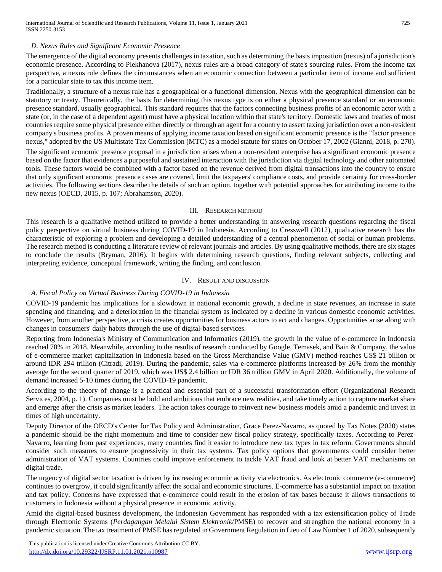#### *D. Nexus Rules and Significant Economic Presence*

The emergence of the digital economy presents challenges in taxation, such as determining the basis imposition (nexus) of a jurisdiction's economic presence. According to Plekhanova (2017), nexus rules are a broad category of state's sourcing rules. From the income tax perspective, a nexus rule defines the circumstances when an economic connection between a particular item of income and sufficient for a particular state to tax this income item.

Traditionally, a structure of a nexus rule has a geographical or a functional dimension. Nexus with the geographical dimension can be statutory or treaty. Theoretically, the basis for determining this nexus type is on either a physical presence standard or an economic presence standard, usually geographical. This standard requires that the factors connecting business profits of an economic actor with a state (or, in the case of a dependent agent) must have a physical location within that state's territory. Domestic laws and treaties of most countries require some physical presence either directly or through an agent for a country to assert taxing jurisdiction over a non-resident company's business profits. A proven means of applying income taxation based on significant economic presence is the "factor presence nexus," adopted by the US Multistate Tax Commission (MTC) as a model statute for states on October 17, 2002 (Gianni, 2018, p. 270).

The significant economic presence proposal in a jurisdiction arises when a non-resident enterprise has a significant economic presence based on the factor that evidences a purposeful and sustained interaction with the jurisdiction via digital technology and other automated tools. These factors would be combined with a factor based on the revenue derived from digital transactions into the country to ensure that only significant economic presence cases are covered, limit the taxpayers' compliance costs, and provide certainty for cross-border activities. The following sections describe the details of such an option, together with potential approaches for attributing income to the new nexus (OECD, 2015, p. 107; Abrahamson, 2020).

#### III. RESEARCH METHOD

This research is a qualitative method utilized to provide a better understanding in answering research questions regarding the fiscal policy perspective on virtual business during COVID-19 in Indonesia. According to Cresswell (2012), qualitative research has the characteristic of exploring a problem and developing a detailed understanding of a central phenomenon of social or human problems. The research method is conducting a literature review of relevant journals and articles. By using qualitative methods, there are six stages to conclude the results (Bryman, 2016). It begins with determining research questions, finding relevant subjects, collecting and interpreting evidence, conceptual framework, writing the finding, and conclusion.

#### IV. RESULT AND DISCUSSION

#### *A. Fiscal Policy on Virtual Business During COVID-19 in Indonesia*

COVID-19 pandemic has implications for a slowdown in national economic growth, a decline in state revenues, an increase in state spending and financing, and a deterioration in the financial system as indicated by a decline in various domestic economic activities. However, from another perspective, a crisis creates opportunities for business actors to act and changes. Opportunities arise along with changes in consumers' daily habits through the use of digital-based services.

Reporting from Indonesia's Ministry of Communication and Informatics (2019), the growth in the value of e-commerce in Indonesia reached 78% in 2018. Meanwhile, according to the results of research conducted by Google, Temasek, and Bain & Company, the value of e-commerce market capitalization in Indonesia based on the Gross Merchandise Value (GMV) method reaches US\$ 21 billion or around IDR 294 trillion (Citradi, 2019). During the pandemic, sales via e-commerce platforms increased by 26% from the monthly average for the second quarter of 2019, which was US\$ 2.4 billion or IDR 36 trillion GMV in April 2020. Additionally, the volume of demand increased 5-10 times during the COVID-19 pandemic.

According to the theory of change is a practical and essential part of a successful transformation effort (Organizational Research Services, 2004, p. 1). Companies must be bold and ambitious that embrace new realities, and take timely action to capture market share and emerge after the crisis as market leaders. The action takes courage to reinvent new business models amid a pandemic and invest in times of high uncertainty.

Deputy Director of the OECD's Center for Tax Policy and Administration, Grace Perez-Navarro, as quoted by Tax Notes (2020) states a pandemic should be the right momentum and time to consider new fiscal policy strategy, specifically taxes. According to Perez-Navarro, learning from past experiences, many countries find it easier to introduce new tax types in tax reform. Governments should consider such measures to ensure progressivity in their tax systems. Tax policy options that governments could consider better administration of VAT systems. Countries could improve enforcement to tackle VAT fraud and look at [better VAT mechanisms on](https://www.taxnotes.com/lr/resolve/298yj)  [digital trade.](https://www.taxnotes.com/lr/resolve/298yj)

The urgency of digital sector taxation is driven by increasing economic activity via electronics. As electronic commerce (e-commerce) continues to overgrow, it could significantly affect the social and economic structures. E-commerce has a substantial impact on taxation and tax policy. Concerns have expressed that e-commerce could result in the erosion of tax bases because it allows transactions to customers in Indonesia without a physical presence in economic activity.

Amid the digital-based business development, the Indonesian Government has responded with a tax extensification policy of Trade through Electronic Systems (*Perdagangan Melalui Sistem Elektronik*/PMSE) to recover and strengthen the national economy in a pandemic situation. The tax treatment of PMSE has regulated in Government Regulation in Lieu of Law Number 1 of 2020, subsequently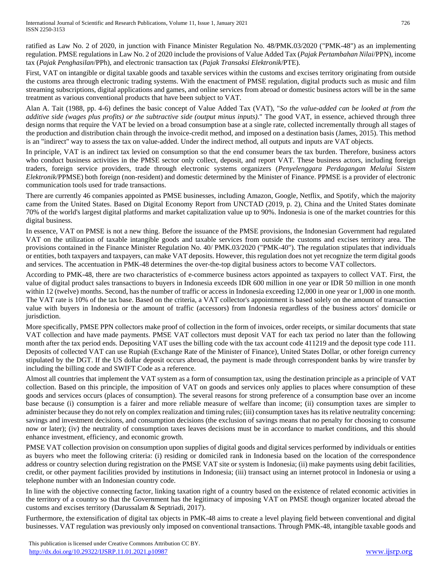ratified as Law No. 2 of 2020, in junction with Finance Minister Regulation No. 48/PMK.03/2020 ("PMK-48") as an implementing regulation. PMSE regulations in Law No. 2 of 2020 include the provisions of Value Added Tax (*Pajak Pertambahan Nilai*/PPN), income tax (*Pajak Penghasilan*/PPh), and electronic transaction tax (*Pajak Transaksi Elektronik*/PTE).

First, VAT on intangible or digital taxable goods and taxable services within the customs and excises territory originating from outside the customs area through electronic trading systems. With the enactment of PMSE regulation, digital products such as music and film streaming subscriptions, digital applications and games, and online services from abroad or domestic business actors will be in the same treatment as various conventional products that have been subject to VAT.

Alan A. Tait (1988, pp. 4-6) defines the basic concept of Value Added Tax (VAT), "*So the value-added can be looked at from the additive side (wages plus profits) or the subtractive side (output minus inputs)*." The good VAT, in essence, achieved through three design norms that require the VAT be levied on a broad consumption base at a single rate, collected incrementally through all stages of the production and distribution chain through the invoice-credit method, and imposed on a destination basis (James, 2015). This method is an "indirect" way to assess the tax on value-added. Under the indirect method, all outputs and inputs are VAT objects.

In principle, VAT is an indirect tax levied on consumption so that the end consumer bears the tax burden. Therefore, business actors who conduct business activities in the PMSE sector only collect, deposit, and report VAT. These business actors, including foreign traders, foreign service providers, trade through electronic systems organizers (*Penyelenggara Perdagangan Melalui Sistem Elektronik*/PPMSE) both foreign (non-resident) and domestic determined by the Minister of Finance. PPMSE is a provider of electronic communication tools used for trade transactions.

There are currently 46 companies appointed as PMSE businesses, including Amazon, Google, Netflix, and Spotify, which the majority came from the United States. Based on Digital Economy Report from UNCTAD (2019, p. 2), China and the United States dominate 70% of the world's largest digital platforms and market capitalization value up to 90%. Indonesia is one of the market countries for this digital business.

In essence, VAT on PMSE is not a new thing. Before the issuance of the PMSE provisions, the Indonesian Government had regulated VAT on the utilization of taxable intangible goods and taxable services from outside the customs and excises territory area. The provisions contained in the Finance Minister Regulation No. 40/ PMK.03/2020 ("PMK-40"). The regulation stipulates that individuals or entities, both taxpayers and taxpayers, can make VAT deposits. However, this regulation does not yet recognize the term digital goods and services. The accentuation in PMK-48 determines the over-the-top digital business actors to become VAT collectors.

According to PMK-48, there are two characteristics of e-commerce business actors appointed as taxpayers to collect VAT. First, the value of digital product sales transactions to buyers in Indonesia exceeds IDR 600 million in one year or IDR 50 million in one month within 12 (twelve) months. Second, has the number of traffic or access in Indonesia exceeding 12,000 in one year or 1,000 in one month. The VAT rate is 10% of the tax base. Based on the criteria, a VAT collector's appointment is based solely on the amount of transaction value with buyers in Indonesia or the amount of traffic (accessors) from Indonesia regardless of the business actors' domicile or jurisdiction.

More specifically, PMSE PPN collectors make proof of collection in the form of invoices, order receipts, or similar documents that state VAT collection and have made payments. PMSE VAT collectors must deposit VAT for each tax period no later than the following month after the tax period ends. Depositing VAT uses the billing code with the tax account code 411219 and the deposit type code 111. Deposits of collected VAT can use Rupiah (Exchange Rate of the Minister of Finance), United States Dollar, or other foreign currency stipulated by the DGT. If the US dollar deposit occurs abroad, the payment is made through correspondent banks by wire transfer by including the billing code and SWIFT Code as a reference.

Almost all countries that implement the VAT system as a form of consumption tax, using the destination principle as a principle of VAT collection. Based on this principle, the imposition of VAT on goods and services only applies to places where consumption of these goods and services occurs (places of consumption). The several reasons for strong preference of a consumption base over an income base because (i) consumption is a fairer and more reliable measure of welfare than income; (ii) consumption taxes are simpler to administer because they do not rely on complex realization and timing rules; (iii) consumption taxes has itsrelative neutrality concerning: savings and investment decisions, and consumption decisions (the exclusion of savings means that no penalty for choosing to consume now or later); (iv) the neutrality of consumption taxes leaves decisions must be in accordance to market conditions, and this should enhance investment, efficiency, and economic growth.

PMSE VAT collection provision on consumption upon supplies of digital goods and digital services performed by individuals or entities as buyers who meet the following criteria: (i) residing or domiciled rank in Indonesia based on the location of the correspondence address or country selection during registration on the PMSE VAT site or system is Indonesia; (ii) make payments using debit facilities, credit, or other payment facilities provided by institutions in Indonesia; (iii) transact using an internet protocol in Indonesia or using a telephone number with an Indonesian country code.

In line with the objective connecting factor, linking taxation right of a country based on the existence of related economic activities in the territory of a country so that the Government has the legitimacy of imposing VAT on PMSE though organizer located abroad the customs and excises territory (Darussalam & Septriadi, 2017).

Furthermore, the extensification of digital tax objects in PMK-48 aims to create a level playing field between conventional and digital businesses. VAT regulation was previously only imposed on conventional transactions. Through PMK-48, intangible taxable goods and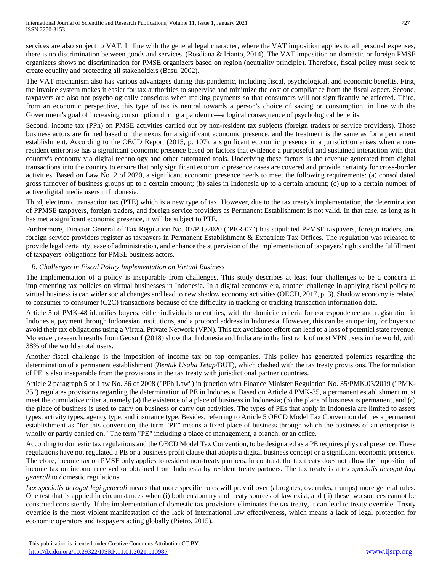services are also subject to VAT. In line with the general legal character, where the VAT imposition applies to all personal expenses, there is no discrimination between goods and services. (Rosdiana & Irianto, 2014). The VAT imposition on domestic or foreign PMSE organizers shows no discrimination for PMSE organizers based on region (neutrality principle). Therefore, fiscal policy must seek to create equality and protecting all stakeholders (Basu, 2002).

The VAT mechanism also has various advantages during this pandemic, including fiscal, psychological, and economic benefits. First, the invoice system makes it easier for tax authorities to supervise and minimize the cost of compliance from the fiscal aspect. Second, taxpayers are also not psychologically conscious when making payments so that consumers will not significantly be affected. Third, from an economic perspective, this type of tax is neutral towards a person's choice of saving or consumption, in line with the Government's goal of increasing consumption during a pandemic—a logical consequence of psychological benefits.

Second, income tax (PPh) on PMSE activities carried out by non-resident tax subjects (foreign traders or service providers). Those business actors are firmed based on the nexus for a significant economic presence, and the treatment is the same as for a permanent establishment. According to the OECD Report (2015, p. 107), a significant economic presence in a jurisdiction arises when a nonresident enterprise has a significant economic presence based on factors that evidence a purposeful and sustained interaction with that country's economy via digital technology and other automated tools. Underlying these factors is the revenue generated from digital transactions into the country to ensure that only significant economic presence cases are covered and provide certainty for cross-border activities. Based on Law No. 2 of 2020, a significant economic presence needs to meet the following requirements: (a) consolidated gross turnover of business groups up to a certain amount; (b) sales in Indonesia up to a certain amount; (c) up to a certain number of active digital media users in Indonesia.

Third, electronic transaction tax (PTE) which is a new type of tax. However, due to the tax treaty's implementation, the determination of PPMSE taxpayers, foreign traders, and foreign service providers as Permanent Establishment is not valid. In that case, as long as it has met a significant economic presence, it will be subject to PTE.

Furthermore, Director General of Tax Regulation No. 07/P.J./2020 ("PER-07") has stipulated PPMSE taxpayers, foreign traders, and foreign service providers register as taxpayers in Permanent Establishment & Expatriate Tax Offices. The regulation was released to provide legal certainty, ease of administration, and enhance the supervision of the implementation of taxpayers' rights and the fulfillment of taxpayers' obligations for PMSE business actors.

## *B. Challenges in Fiscal Policy Implementation on Virtual Business*

The implementation of a policy is inseparable from challenges. This study describes at least four challenges to be a concern in implementing tax policies on virtual businesses in Indonesia. In a digital economy era, another challenge in applying fiscal policy to virtual business is can wider social changes and lead to new shadow economy activities (OECD, 2017, p. 3). Shadow economy is related to consumer to consumer (C2C) transactions because of the difficulty in tracking or tracking transaction information data.

Article 5 of PMK-48 identifies buyers, either individuals or entities, with the domicile criteria for correspondence and registration in Indonesia, payment through Indonesian institutions, and a protocol address in Indonesia. However, this can be an opening for buyers to avoid their tax obligations using a Virtual Private Network (VPN). This tax avoidance effort can lead to a loss of potential state revenue. Moreover, research results from Geosurf (2018) show that Indonesia and India are in the first rank of most VPN users in the world, with 38% of the world's total users.

Another fiscal challenge is the imposition of income tax on top companies. This policy has generated polemics regarding the determination of a permanent establishment (*Bentuk Usaha Tetap*/BUT), which clashed with the tax treaty provisions. The formulation of PE is also inseparable from the provisions in the tax treaty with jurisdictional partner countries.

Article 2 paragraph 5 of Law No. 36 of 2008 ("PPh Law") in junction with Finance Minister Regulation No. 35/PMK.03/2019 ("PMK-35") regulates provisions regarding the determination of PE in Indonesia. Based on Article 4 PMK-35, a permanent establishment must meet the cumulative criteria, namely (a) the existence of a place of business in Indonesia; (b) the place of business is permanent, and (c) the place of business is used to carry on business or carry out activities. The types of PEs that apply in Indonesia are limited to assets types, activity types, agency type, and insurance type. Besides, referring to Article 5 OECD Model Tax Convention defines a permanent establishment as "for this convention, the term "PE" means a fixed place of business through which the business of an enterprise is wholly or partly carried on." The term "PE" including a place of management, a branch, or an office.

According to domestic tax regulations and the OECD Model Tax Convention, to be designated as a PE requires physical presence. These regulations have not regulated a PE or a business profit clause that adopts a digital business concept or a significant economic presence. Therefore, income tax on PMSE only applies to resident non-treaty partners. In contrast, the tax treaty does not allow the imposition of income tax on income received or obtained from Indonesia by resident treaty partners. The tax treaty is a *lex specialis derogat legi generali* to domestic regulations.

*Lex specialis derogat legi generali* means that more specific rules will prevail over (abrogates, overrules, trumps) more general rules. One test that is applied in circumstances when (i) both customary and treaty sources of law exist, and (ii) these two sources cannot be construed consistently. If the implementation of domestic tax provisions eliminates the tax treaty, it can lead to treaty override. Treaty override is the most violent manifestation of the lack of international law effectiveness, which means a lack of legal protection for economic operators and taxpayers acting globally (Pietro, 2015).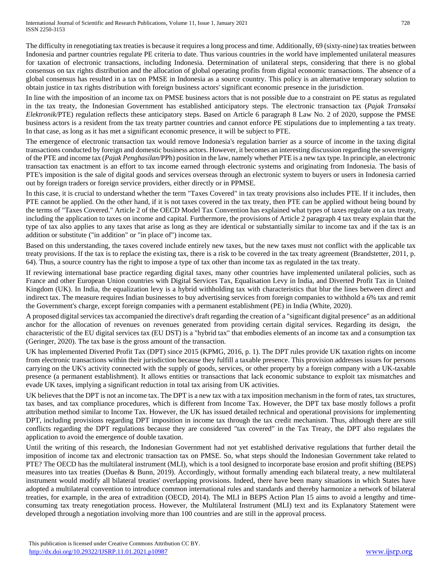The difficulty in renegotiating tax treaties is because it requires a long process and time. Additionally, 69 (sixty-nine) tax treaties between Indonesia and partner countries regulate PE criteria to date. Thus various countries in the world have implemented unilateral measures for taxation of electronic transactions, including Indonesia. Determination of unilateral steps, considering that there is no global consensus on tax rights distribution and the allocation of global operating profits from digital economic transactions. The absence of a global consensus has resulted in a tax on PMSE in Indonesia as a source country. This policy is an alternative temporary solution to obtain justice in tax rights distribution with foreign business actors' significant economic presence in the jurisdiction.

In line with the imposition of an income tax on PMSE business actors that is not possible due to a constraint on PE status as regulated in the tax treaty, the Indonesian Government has established anticipatory steps. The electronic transaction tax (*Pajak Transaksi Elektronik*/PTE) regulation reflects these anticipatory steps. Based on Article 6 paragraph 8 Law No. 2 of 2020, suppose the PMSE business actors is a resident from the tax treaty partner countries and cannot enforce PE stipulations due to implementing a tax treaty. In that case, as long as it has met a significant economic presence, it will be subject to PTE.

The emergence of electronic transaction tax would remove Indonesia's regulation barrier as a source of income in the taxing digital transactions conducted by foreign and domestic business actors. However, it becomes an interesting discussion regarding the sovereignty of the PTE and income tax (*Pajak Penghasilan*/PPh) position in the law, namely whether PTE is a new tax type. In principle, an electronic transaction tax enactment is an effort to tax income earned through electronic systems and originating from Indonesia. The basis of PTE's imposition is the sale of digital goods and services overseas through an electronic system to buyers or users in Indonesia carried out by foreign traders or foreign service providers, either directly or in PPMSE.

In this case, it is crucial to understand whether the term "Taxes Covered" in tax treaty provisions also includes PTE. If it includes, then PTE cannot be applied. On the other hand, if it is not taxes covered in the tax treaty, then PTE can be applied without being bound by the terms of "Taxes Covered." Article 2 of the OECD Model Tax Convention has explained what types of taxes regulate on a tax treaty, including the application to taxes on income and capital. Furthermore, the provisions of Article 2 paragraph 4 tax treaty explain that the type of tax also applies to any taxes that arise as long as they are identical or substantially similar to income tax and if the tax is an addition or substitute ("in addition" or "in place of") income tax.

Based on this understanding, the taxes covered include entirely new taxes, but the new taxes must not conflict with the applicable tax treaty provisions. If the tax is to replace the existing tax, there is a risk to be covered in the tax treaty agreement (Brandstetter, 2011, p. 64). Thus, a source country has the right to impose a type of tax other than income tax as regulated in the tax treaty.

If reviewing international base practice regarding digital taxes, many other countries have implemented unilateral policies, such as France and other European Union countries with Digital Services Tax, Equalisation Levy in India, and Diverted Profit Tax in United Kingdom (UK). In India, the equalization levy is a hybrid withholding tax with characteristics that blur the lines between direct and indirect tax. The measure requires Indian businesses to buy advertising services from foreign companies to withhold a 6% tax and remit the Government's charge, except foreign companies with a permanent establishment (PE) in India (White, 2020).

A proposed digital services tax accompanied the directive's draft regarding the creation of a "significant digital presence" as an additional anchor for the allocation of revenues on revenues generated from providing certain digital services. Regarding its design, the characteristic of the EU digital services tax (EU DST) is a "hybrid tax" that embodies elements of an income tax and a consumption tax (Geringer, 2020). The tax base is the gross amount of the transaction.

UK has implemented Diverted Profit Tax (DPT) since 2015 (KPMG, 2016, p. 1). The DPT rules provide UK taxation rights on income from electronic transactions within their jurisdiction because they fulfill a taxable presence. This provision addresses issues for persons carrying on the UK's activity connected with the supply of goods, services, or other property by a foreign company with a UK-taxable presence (a permanent establishment). It allows entities or transactions that lack economic substance to exploit tax mismatches and evade UK taxes, implying a significant reduction in total tax arising from UK activities.

UK believes that the DPT is not an income tax. The DPT is a new tax with a tax imposition mechanism in the form of rates, tax structures, tax bases, and tax compliance procedures, which is different from Income Tax. However, the DPT tax base mostly follows a profit attribution method similar to Income Tax. However, the UK has issued detailed technical and operational provisions for implementing DPT, including provisions regarding DPT imposition in income tax through the tax credit mechanism. Thus, although there are still conflicts regarding the DPT regulations because they are considered "tax covered" in the Tax Treaty, the DPT also regulates the application to avoid the emergence of double taxation.

Until the writing of this research, the Indonesian Government had not yet established derivative regulations that further detail the imposition of income tax and electronic transaction tax on PMSE. So, what steps should the Indonesian Government take related to PTE? The OECD has the multilateral instrument (MLI), which is a tool designed to incorporate base erosion and profit shifting (BEPS) measures into tax treaties (Dueñas & Bunn, 2019). Accordingly, without formally amending each bilateral treaty, a new multilateral instrument would modify all bilateral treaties' overlapping provisions. Indeed, there have been many situations in which States have adopted a multilateral convention to introduce common international rules and standards and thereby harmonize a network of bilateral treaties, for example, in the area of extradition (OECD, 2014). The MLI in BEPS Action Plan 15 aims to avoid a lengthy and timeconsuming tax treaty renegotiation process. However, the Multilateral Instrument (MLI) text and its Explanatory Statement were developed through a negotiation involving more than 100 countries and are still in the approval process.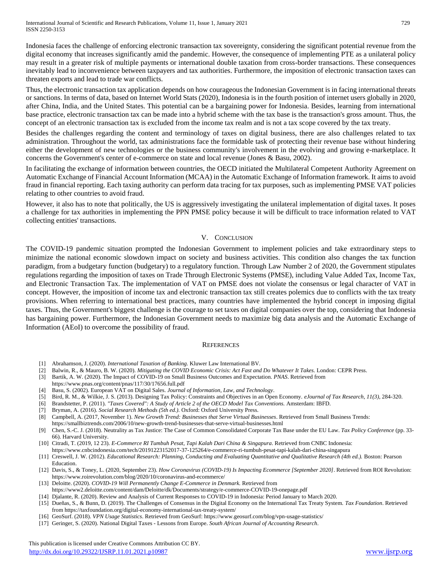Indonesia faces the challenge of enforcing electronic transaction tax sovereignty, considering the significant potential revenue from the digital economy that increases significantly amid the pandemic. However, the consequence of implementing PTE as a unilateral policy may result in a greater risk of multiple payments or international double taxation from cross-border transactions. These consequences inevitably lead to inconvenience between taxpayers and tax authorities. Furthermore, the imposition of electronic transaction taxes can threaten exports and lead to trade war conflicts.

Thus, the electronic transaction tax application depends on how courageous the Indonesian Government is in facing international threats or sanctions. In terms of data, based on Internet World Stats (2020), Indonesia is in the fourth position of internet users globally in 2020, after China, India, and the United States. This potential can be a bargaining power for Indonesia. Besides, learning from international base practice, electronic transaction tax can be made into a hybrid scheme with the tax base is the transaction's gross amount. Thus, the concept of an electronic transaction tax is excluded from the income tax realm and is not a tax scope covered by the tax treaty.

Besides the challenges regarding the content and terminology of taxes on digital business, there are also challenges related to tax administration. Throughout the world, tax administrations face the formidable task of protecting their revenue base without hindering either the development of new technologies or the business community's involvement in the evolving and growing e-marketplace. It concerns the Government's center of e-commerce on state and local revenue (Jones & Basu, 2002).

In facilitating the exchange of information between countries, the OECD initiated the Multilateral Competent Authority Agreement on Automatic Exchange of Financial Account Information (MCAA) in the Automatic Exchange of Information framework. It aims to avoid fraud in financial reporting. Each taxing authority can perform data tracing for tax purposes, such as implementing PMSE VAT policies relating to other countries to avoid fraud.

However, it also has to note that politically, the US is aggressively investigating the unilateral implementation of digital taxes. It poses a challenge for tax authorities in implementing the PPN PMSE policy because it will be difficult to trace information related to VAT collecting entities' transactions.

#### V. CONCLUSION

The COVID-19 pandemic situation prompted the Indonesian Government to implement policies and take extraordinary steps to minimize the national economic slowdown impact on society and business activities. This condition also changes the tax function paradigm, from a budgetary function (budgetary) to a regulatory function. Through Law Number 2 of 2020, the Government stipulates regulations regarding the imposition of taxes on Trade Through Electronic Systems (PMSE), including Value Added Tax, Income Tax, and Electronic Transaction Tax. The implementation of VAT on PMSE does not violate the consensus or legal character of VAT in concept. However, the imposition of income tax and electronic transaction tax still creates polemics due to conflicts with the tax treaty provisions. When referring to international best practices, many countries have implemented the hybrid concept in imposing digital taxes. Thus, the Government's biggest challenge is the courage to set taxes on digital companies over the top, considering that Indonesia has bargaining power. Furthermore, the Indonesian Government needs to maximize big data analysis and the Automatic Exchange of Information (AEoI) to overcome the possibility of fraud.

#### **REFERENCES**

- [1] Abrahamson, J. (2020). *International Taxation of Banking.* Kluwer Law International BV.
- [2] Balwin, R., & Mauro, B. W. (2020). *Mitigating the COVID Economic Crisis: Act Fast and Do Whatever It Takes.* London: CEPR Press.
- [3] Bartik, A. W. (2020). The Impact of COVID-19 on Small Business Outcomes and Expectation. *PNAS*. Retrieved from
- https://www.pnas.org/content/pnas/117/30/17656.full.pdf
- [4] Basu, S. (2002). European VAT on Digital Sales. *Journal of Information, Law, and Technology*.
- [5] Bird, R. M., & Wilkie, J. S. (2013). Designing Tax Policy: Constraints and Objectives in an Open Economy. *eJournal of Tax Research, 11(3)*, 284-320.
- [6] Brandstetter, P. (2011). *"Taxes Covered": A Study of Article 2 of the OECD Model Tax Conventions.* Amsterdam: IBFD.
- [7] Bryman, A. (2016). *Social Research Methods (5th ed.).* Oxford: Oxford University Press.
- [8] Campbell, A. (2017, November 1). *New Growth Trend: Businesses that Serve Virtual Businesses*. Retrieved from Small Business Trends:
- https://smallbiztrends.com/2006/10/new-growth-trend-businesses-that-serve-virtual-businesses.html [9] Chen, S.-C. J. (2018). Neutrality as Tax Justice: The Case of Common Consolidated Corporate Tax Base under the EU Law. *Tax Policy Conference* (pp. 33- 66). Harvard University.
- [10] Citradi, T. (2019, 12 23). *E-Commerce RI Tumbuh Pesat, Tapi Kalah Dari China & Singapura*. Retrieved from CNBC Indonesia: https://www.cnbcindonesia.com/tech/20191223152017-37-125264/e-commerce-ri-tumbuh-pesat-tapi-kalah-dari-china-singapura
- [11] Creswell, J. W. (2012). *Educational Research: Planning, Conducting and Evaluating Quantitative and Qualitative Research (4th ed.).* Boston: Pearson Education.
- [12] Davis, S., & Toney, L. (2020, September 23). *How Coronavirus (COVID-19) Is Impacting Ecommerce [September 2020]*. Retrieved from ROI Revolution: https://www.roirevolution.com/blog/2020/10/coronavirus-and-ecommerce/
- [13] Deloitte. (2020). *COVID-19 Will Permanently Change E-Commerce in Denmark.* Retrieved from
- https://www2.deloitte.com/content/dam/Deloitte/dk/Documents/strategy/e-commerce-COVID-19-onepage.pdf
- [14] Djalante, R. (2020). Review and Analysis of Current Responses to COVID-19 in Indonesia: Period January to March 2020.
- [15] Dueñas, S., & Bunn, D. (2019). The Challenges of Consensus in the Digital Economy on the International Tax Treaty System. *Tax Foundation*. Retrieved from https://taxfoundation.org/digital-economy-international-tax-treaty-system/
- [16] GeoSurf. (2018). *VPN Usage Statistics*. Retrieved from GeoSurf: https://www.geosurf.com/blog/vpn-usage-statistics/
- [17] Geringer, S. (2020). National Digital Taxes Lessons from Europe. *South African Journal of Accounting Research*.

 This publication is licensed under Creative Commons Attribution CC BY. <http://dx.doi.org/10.29322/IJSRP.11.01.2021.p10987> [www.ijsrp.org](http://ijsrp.org/)